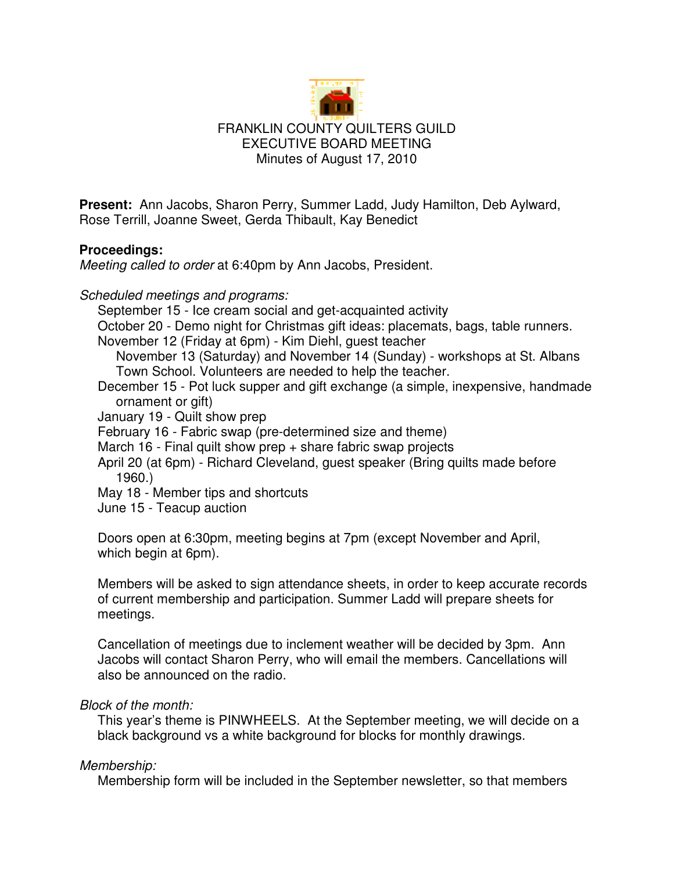

**Present:** Ann Jacobs, Sharon Perry, Summer Ladd, Judy Hamilton, Deb Aylward, Rose Terrill, Joanne Sweet, Gerda Thibault, Kay Benedict

# **Proceedings:**

*Meeting called to order* at 6:40pm by Ann Jacobs, President.

*Scheduled meetings and programs:*

September 15 - Ice cream social and get-acquainted activity

October 20 - Demo night for Christmas gift ideas: placemats, bags, table runners. November 12 (Friday at 6pm) - Kim Diehl, guest teacher

November 13 (Saturday) and November 14 (Sunday) - workshops at St. Albans Town School. Volunteers are needed to help the teacher.

December 15 - Pot luck supper and gift exchange (a simple, inexpensive, handmade ornament or gift)

January 19 - Quilt show prep

February 16 - Fabric swap (pre-determined size and theme)

March 16 - Final quilt show prep + share fabric swap projects

April 20 (at 6pm) - Richard Cleveland, guest speaker (Bring quilts made before 1960.)

May 18 - Member tips and shortcuts

June 15 - Teacup auction

Doors open at 6:30pm, meeting begins at 7pm (except November and April, which begin at 6pm).

Members will be asked to sign attendance sheets, in order to keep accurate records of current membership and participation. Summer Ladd will prepare sheets for meetings.

Cancellation of meetings due to inclement weather will be decided by 3pm. Ann Jacobs will contact Sharon Perry, who will email the members. Cancellations will also be announced on the radio.

# *Block of the month:*

This year's theme is PINWHEELS. At the September meeting, we will decide on a black background vs a white background for blocks for monthly drawings.

# *Membership:*

Membership form will be included in the September newsletter, so that members